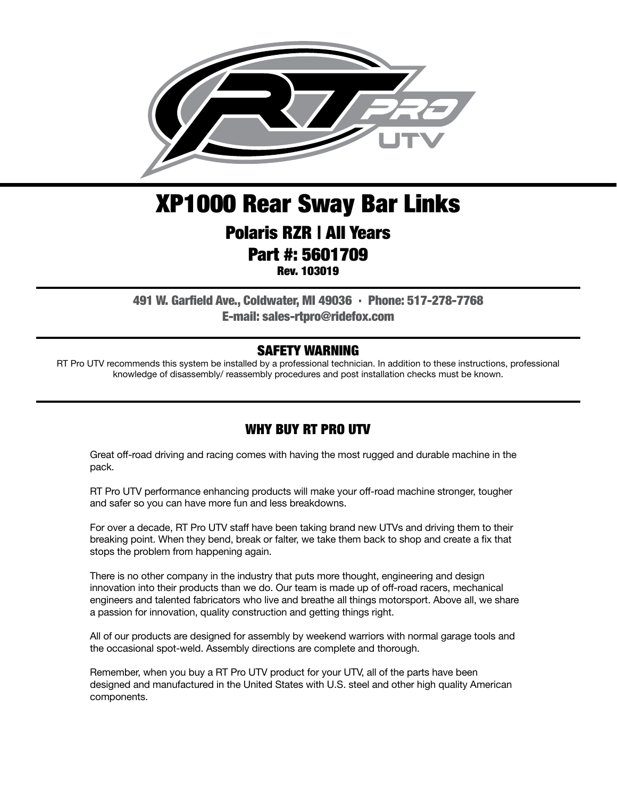

# XP1000 Rear Sway Bar Links

### Polaris RZR | All Years Part #: 5601709

Rev. 103019

491 W. Garfield Ave., Coldwater, MI 49036 . Phone: 517-278-7768 E-mail: sales-rtpro@ridefox.com

#### SAFETY WARNING

RT Pro UTV recommends this system be installed by a professional technician. In addition to these instructions, professional knowledge of disassembly/ reassembly procedures and post installation checks must be known.

#### WHY BUY RT PRO UTV

Great off-road driving and racing comes with having the most rugged and durable machine in the pack.

RT Pro UTV performance enhancing products will make your off-road machine stronger, tougher and safer so you can have more fun and less breakdowns.

For over a decade, RT Pro UTV staff have been taking brand new UTVs and driving them to their breaking point. When they bend, break or falter, we take them back to shop and create a fix that stops the problem from happening again.

There is no other company in the industry that puts more thought, engineering and design innovation into their products than we do. Our team is made up of off-road racers, mechanical engineers and talented fabricators who live and breathe all things motorsport. Above all, we share a passion for innovation, quality construction and getting things right.

All of our products are designed for assembly by weekend warriors with normal garage tools and the occasional spot-weld. Assembly directions are complete and thorough.

Remember, when you buy a RT Pro UTV product for your UTV, all of the parts have been designed and manufactured in the United States with U.S. steel and other high quality American components.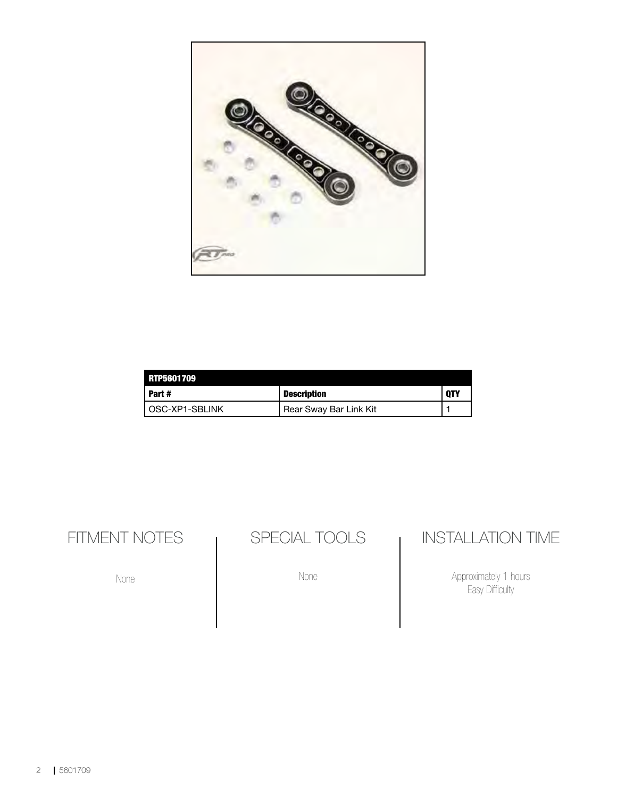

| <b>RTP5601709</b> |                        |            |
|-------------------|------------------------|------------|
| Part #            | <b>Description</b>     | <b>OTY</b> |
| l OSC-XP1-SBLINK  | Rear Sway Bar Link Kit |            |

FITMENT NOTES

None

SPECIAL TOOLS

None

### INSTALLATION TIME

Approximately 1 hours Easy Difficulty